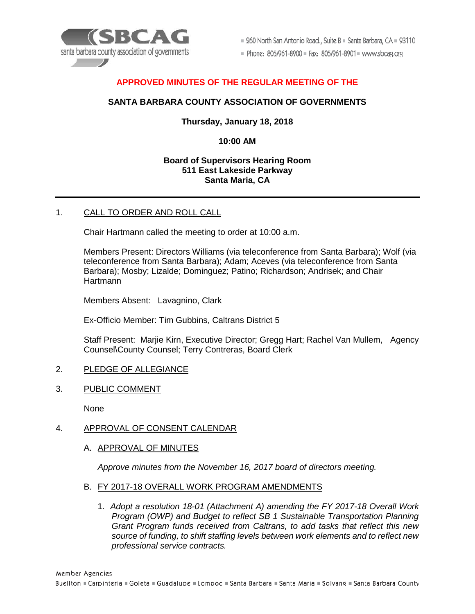

 $\equiv$  260 North San Antonio Road., Suite B  $\equiv$  Santa Barbara, CA  $\equiv$  93110

Phone: 805/961-8900 = Fax: 805/961-8901 = www.sbcag.org

# **APPROVED MINUTES OF THE REGULAR MEETING OF THE**

## **SANTA BARBARA COUNTY ASSOCIATION OF GOVERNMENTS**

## **Thursday, January 18, 2018**

## **10:00 AM**

### **Board of Supervisors Hearing Room 511 East Lakeside Parkway Santa Maria, CA**

### 1. CALL TO ORDER AND ROLL CALL

Chair Hartmann called the meeting to order at 10:00 a.m.

Members Present: Directors Williams (via teleconference from Santa Barbara); Wolf (via teleconference from Santa Barbara); Adam; Aceves (via teleconference from Santa Barbara); Mosby; Lizalde; Dominguez; Patino; Richardson; Andrisek; and Chair Hartmann

Members Absent: Lavagnino, Clark

Ex-Officio Member: Tim Gubbins, Caltrans District 5

Staff Present: Marjie Kirn, Executive Director; Gregg Hart; Rachel Van Mullem, Agency Counsel\County Counsel; Terry Contreras, Board Clerk

### 2. PLEDGE OF ALLEGIANCE

3. PUBLIC COMMENT

None

### 4. APPROVAL OF CONSENT CALENDAR

A. APPROVAL OF MINUTES

*Approve minutes from the November 16, 2017 board of directors meeting.*

#### B. FY 2017-18 OVERALL WORK PROGRAM AMENDMENTS

1. *Adopt a resolution 18-01 (Attachment A) amending the FY 2017-18 Overall Work Program (OWP) and Budget to reflect SB 1 Sustainable Transportation Planning Grant Program funds received from Caltrans, to add tasks that reflect this new source of funding, to shift staffing levels between work elements and to reflect new professional service contracts.*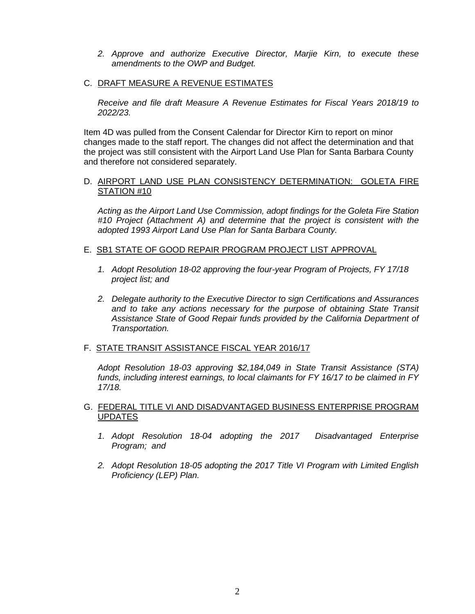- *2. Approve and authorize Executive Director, Marjie Kirn, to execute these amendments to the OWP and Budget.*
- C. DRAFT MEASURE A REVENUE ESTIMATES

*Receive and file draft Measure A Revenue Estimates for Fiscal Years 2018/19 to 2022/23.*

Item 4D was pulled from the Consent Calendar for Director Kirn to report on minor changes made to the staff report. The changes did not affect the determination and that the project was still consistent with the Airport Land Use Plan for Santa Barbara County and therefore not considered separately.

### D. AIRPORT LAND USE PLAN CONSISTENCY DETERMINATION: GOLETA FIRE STATION #10

*Acting as the Airport Land Use Commission, adopt findings for the Goleta Fire Station #10 Project (Attachment A) and determine that the project is consistent with the adopted 1993 Airport Land Use Plan for Santa Barbara County.*

## E. SB1 STATE OF GOOD REPAIR PROGRAM PROJECT LIST APPROVAL

- *1. Adopt Resolution 18-02 approving the four-year Program of Projects, FY 17/18 project list; and*
- *2. Delegate authority to the Executive Director to sign Certifications and Assurances and to take any actions necessary for the purpose of obtaining State Transit Assistance State of Good Repair funds provided by the California Department of Transportation.*

### F. STATE TRANSIT ASSISTANCE FISCAL YEAR 2016/17

*Adopt Resolution 18-03 approving \$2,184,049 in State Transit Assistance (STA) funds, including interest earnings, to local claimants for FY 16/17 to be claimed in FY 17/18.*

## G. FEDERAL TITLE VI AND DISADVANTAGED BUSINESS ENTERPRISE PROGRAM UPDATES

- *1. Adopt Resolution 18-04 adopting the 2017 Disadvantaged Enterprise Program; and*
- *2. Adopt Resolution 18-05 adopting the 2017 Title VI Program with Limited English Proficiency (LEP) Plan.*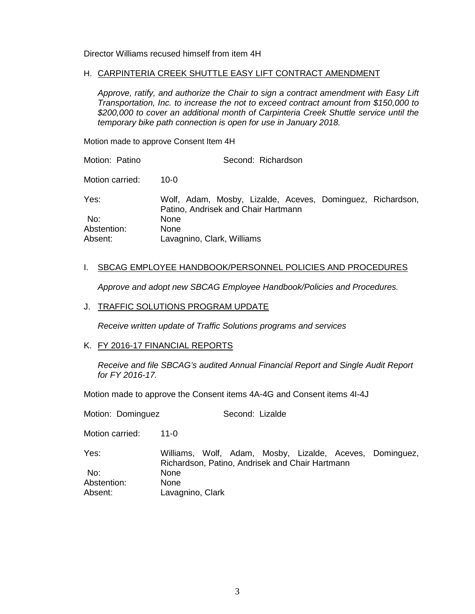Director Williams recused himself from item 4H

## H. CARPINTERIA CREEK SHUTTLE EASY LIFT CONTRACT AMENDMENT

*Approve, ratify, and authorize the Chair to sign a contract amendment with Easy Lift Transportation, Inc. to increase the not to exceed contract amount from \$150,000 to \$200,000 to cover an additional month of Carpinteria Creek Shuttle service until the temporary bike path connection is open for use in January 2018.*

Motion made to approve Consent Item 4H

Motion: Patino **Second: Richardson** Motion carried: 10-0 Yes: Wolf, Adam, Mosby, Lizalde, Aceves, Dominguez, Richardson, Patino, Andrisek and Chair Hartmann No: None Abstention: None Absent: Lavagnino, Clark, Williams

### I. SBCAG EMPLOYEE HANDBOOK/PERSONNEL POLICIES AND PROCEDURES

*Approve and adopt new SBCAG Employee Handbook/Policies and Procedures.* 

### J. TRAFFIC SOLUTIONS PROGRAM UPDATE

*Receive written update of Traffic Solutions programs and services*

### K. FY 2016-17 FINANCIAL REPORTS

*Receive and file SBCAG's audited Annual Financial Report and Single Audit Report for FY 2016-17.*

Motion made to approve the Consent items 4A-4G and Consent items 4I-4J

Motion: Dominguez **Second: Lizalde** Motion carried: 11-0 Yes: Williams, Wolf, Adam, Mosby, Lizalde, Aceves, Dominguez, Richardson, Patino, Andrisek and Chair Hartmann No: None Abstention: None Absent: Lavagnino, Clark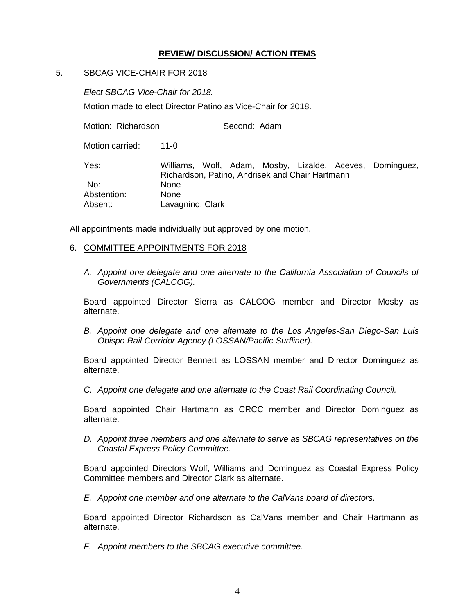## **REVIEW/ DISCUSSION/ ACTION ITEMS**

## 5. SBCAG VICE-CHAIR FOR 2018

*Elect SBCAG Vice-Chair for 2018.*

Motion made to elect Director Patino as Vice-Chair for 2018.

Motion: Richardson Second: Adam

Motion carried: 11-0

Yes: Williams, Wolf, Adam, Mosby, Lizalde, Aceves, Dominguez, Richardson, Patino, Andrisek and Chair Hartmann No: None Abstention: None Absent: Lavagnino, Clark

All appointments made individually but approved by one motion.

### 6. COMMITTEE APPOINTMENTS FOR 2018

*A. Appoint one delegate and one alternate to the California Association of Councils of Governments (CALCOG).*

Board appointed Director Sierra as CALCOG member and Director Mosby as alternate.

*B. Appoint one delegate and one alternate to the Los Angeles-San Diego-San Luis Obispo Rail Corridor Agency (LOSSAN/Pacific Surfliner).* 

Board appointed Director Bennett as LOSSAN member and Director Dominguez as alternate.

*C. Appoint one delegate and one alternate to the Coast Rail Coordinating Council.*

Board appointed Chair Hartmann as CRCC member and Director Dominguez as alternate.

*D. Appoint three members and one alternate to serve as SBCAG representatives on the Coastal Express Policy Committee.*

Board appointed Directors Wolf, Williams and Dominguez as Coastal Express Policy Committee members and Director Clark as alternate.

*E. Appoint one member and one alternate to the CalVans board of directors.*

Board appointed Director Richardson as CalVans member and Chair Hartmann as alternate.

*F. Appoint members to the SBCAG executive committee.*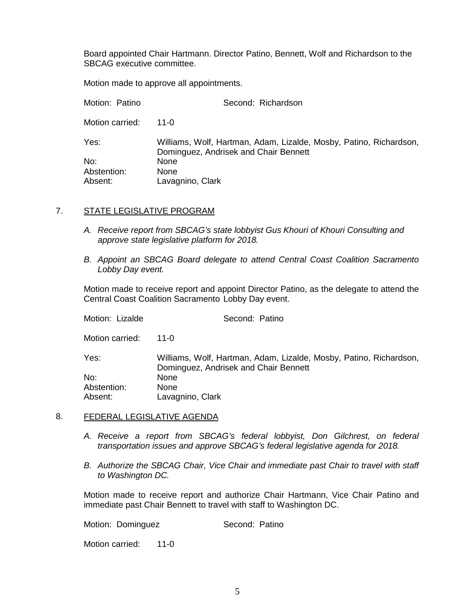Board appointed Chair Hartmann. Director Patino, Bennett, Wolf and Richardson to the SBCAG executive committee.

Motion made to approve all appointments.

| Motion: Patino  | Second: Richardson                                                                                          |
|-----------------|-------------------------------------------------------------------------------------------------------------|
| Motion carried: | 11-0                                                                                                        |
| Yes:            | Williams, Wolf, Hartman, Adam, Lizalde, Mosby, Patino, Richardson,<br>Dominguez, Andrisek and Chair Bennett |
| No:             | <b>None</b>                                                                                                 |
| Abstention:     | None                                                                                                        |
| Absent:         | Lavagnino, Clark                                                                                            |

## 7. STATE LEGISLATIVE PROGRAM

- *A. Receive report from SBCAG's state lobbyist Gus Khouri of Khouri Consulting and approve state legislative platform for 2018.*
- *B. Appoint an SBCAG Board delegate to attend Central Coast Coalition Sacramento Lobby Day event.*

Motion made to receive report and appoint Director Patino, as the delegate to attend the Central Coast Coalition Sacramento Lobby Day event.

| Second: Patino                                                                                              |
|-------------------------------------------------------------------------------------------------------------|
| 11- $\Omega$                                                                                                |
| Williams, Wolf, Hartman, Adam, Lizalde, Mosby, Patino, Richardson,<br>Dominguez, Andrisek and Chair Bennett |
| <b>None</b>                                                                                                 |
| <b>None</b>                                                                                                 |
| Lavagnino, Clark                                                                                            |
|                                                                                                             |

### 8. FEDERAL LEGISLATIVE AGENDA

- *A. Receive a report from SBCAG's federal lobbyist, Don Gilchrest, on federal transportation issues and approve SBCAG's federal legislative agenda for 2018.*
- *B. Authorize the SBCAG Chair, Vice Chair and immediate past Chair to travel with staff to Washington DC.*

Motion made to receive report and authorize Chair Hartmann, Vice Chair Patino and immediate past Chair Bennett to travel with staff to Washington DC.

Motion: Dominguez **Second: Patino** 

Motion carried: 11-0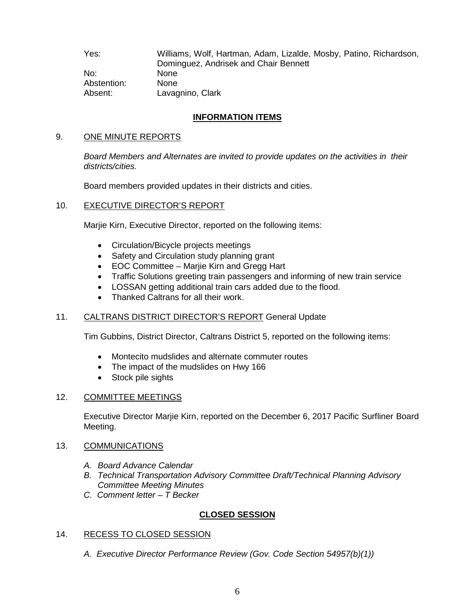Yes: Williams, Wolf, Hartman, Adam, Lizalde, Mosby, Patino, Richardson, Dominguez, Andrisek and Chair Bennett No: None Abstention: None Absent: Lavagnino, Clark

# **INFORMATION ITEMS**

## 9. ONE MINUTE REPORTS

*Board Members and Alternates are invited to provide updates on the activities in their districts/cities.*

Board members provided updates in their districts and cities.

## 10. EXECUTIVE DIRECTOR'S REPORT

Marjie Kirn, Executive Director, reported on the following items:

- Circulation/Bicycle projects meetings
- Safety and Circulation study planning grant
- EOC Committee Marjie Kirn and Gregg Hart
- Traffic Solutions greeting train passengers and informing of new train service
- LOSSAN getting additional train cars added due to the flood.
- Thanked Caltrans for all their work.

## 11. CALTRANS DISTRICT DIRECTOR'S REPORT General Update

Tim Gubbins, District Director, Caltrans District 5, reported on the following items:

- Montecito mudslides and alternate commuter routes
- The impact of the mudslides on Hwy 166
- Stock pile sights

## 12. COMMITTEE MEETINGS

Executive Director Marjie Kirn, reported on the December 6, 2017 Pacific Surfliner Board Meeting.

### 13. COMMUNICATIONS

- *A. Board Advance Calendar*
- *B. Technical Transportation Advisory Committee Draft/Technical Planning Advisory Committee Meeting Minutes*
- *C. Comment letter – T Becker*

## **CLOSED SESSION**

## 14. RECESS TO CLOSED SESSION

*A. Executive Director Performance Review (Gov. Code Section 54957(b)(1))*